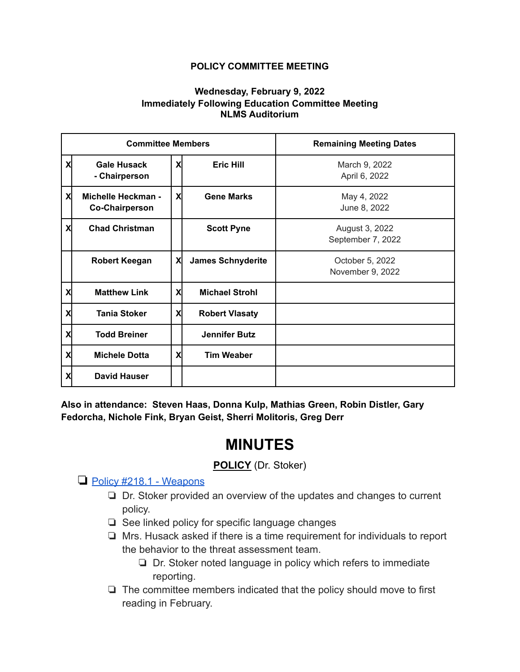#### **POLICY COMMITTEE MEETING**

#### **Wednesday, February 9, 2022 Immediately Following Education Committee Meeting NLMS Auditorium**

| <b>Committee Members</b> |                                                    |   |                          | <b>Remaining Meeting Dates</b>      |
|--------------------------|----------------------------------------------------|---|--------------------------|-------------------------------------|
| X                        | <b>Gale Husack</b><br>- Chairperson                | X | <b>Eric Hill</b>         | March 9, 2022<br>April 6, 2022      |
| X                        | <b>Michelle Heckman -</b><br><b>Co-Chairperson</b> | X | <b>Gene Marks</b>        | May 4, 2022<br>June 8, 2022         |
| X                        | <b>Chad Christman</b>                              |   | <b>Scott Pyne</b>        | August 3, 2022<br>September 7, 2022 |
|                          | <b>Robert Keegan</b>                               | X | <b>James Schnyderite</b> | October 5, 2022<br>November 9, 2022 |
| X                        | <b>Matthew Link</b>                                | X | <b>Michael Strohl</b>    |                                     |
| X                        | <b>Tania Stoker</b>                                | X | <b>Robert Vlasaty</b>    |                                     |
| X                        | <b>Todd Breiner</b>                                |   | <b>Jennifer Butz</b>     |                                     |
| X                        | <b>Michele Dotta</b>                               | X | <b>Tim Weaber</b>        |                                     |
| X                        | <b>David Hauser</b>                                |   |                          |                                     |

**Also in attendance: Steven Haas, Donna Kulp, Mathias Green, Robin Distler, Gary Fedorcha, Nichole Fink, Bryan Geist, Sherri Molitoris, Greg Derr**

# **MINUTES**

# **POLICY** (Dr. Stoker)

## ❏ [Policy #218.1 - Weapons](https://drive.google.com/file/d/1x4oItiPFNlYq6y5Dax_PMKkQXDnWGzS3/view?usp=sharing)

- ❏ Dr. Stoker provided an overview of the updates and changes to current policy.
- ❏ See linked policy for specific language changes
- ❏ Mrs. Husack asked if there is a time requirement for individuals to report the behavior to the threat assessment team.
	- ❏ Dr. Stoker noted language in policy which refers to immediate reporting.
- ❏ The committee members indicated that the policy should move to first reading in February.